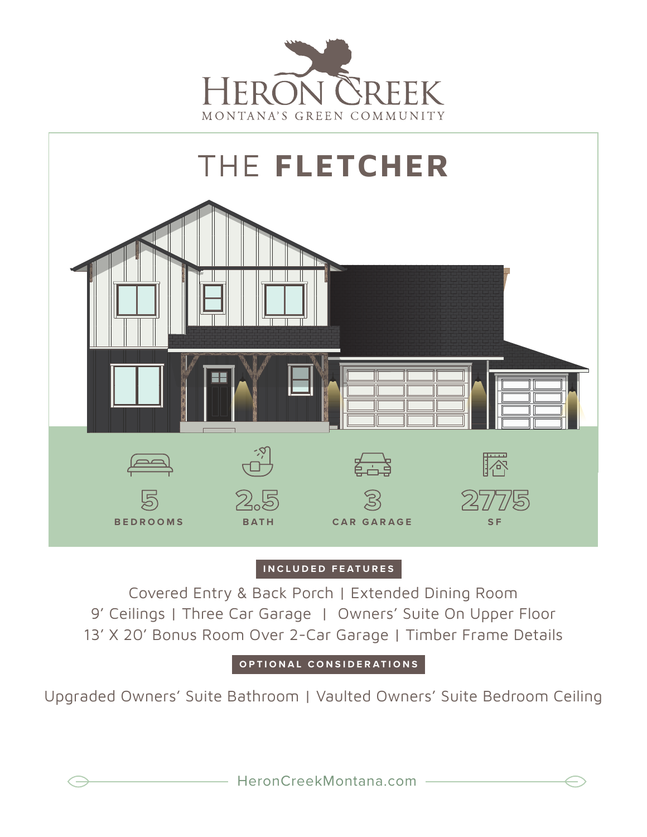



## **INCLUDED FEATURES**

Covered Entry & Back Porch | Extended Dining Room 9' Ceilings | Three Car Garage | Owners' Suite On Upper Floor 13' X 20' Bonus Room Over 2-Car Garage | Timber Frame Details

**OPTIONAL CONSIDERATIONS**

Upgraded Owners' Suite Bathroom | Vaulted Owners' Suite Bedroom Ceiling